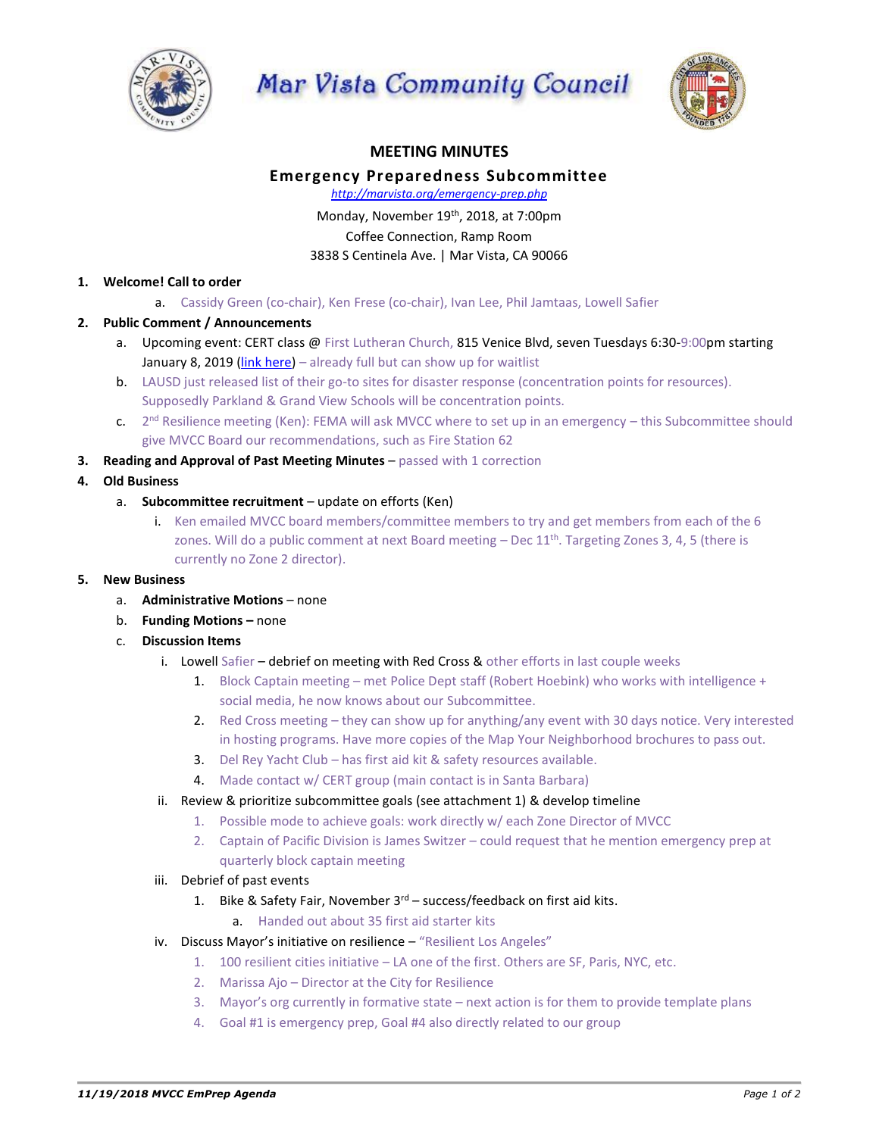





## **MEETING MINUTES**

## **Emergency Preparedness Subcommittee**

*http://marvista.org/emergency-prep.php*

Monday, November 19<sup>th</sup>, 2018, at 7:00pm

Coffee Connection, Ramp Room

3838 S Centinela Ave. | Mar Vista, CA 90066

## **1. Welcome! Call to order**

a. Cassidy Green (co-chair), Ken Frese (co-chair), Ivan Lee, Phil Jamtaas, Lowell Safier

- **2. Public Comment / Announcements**
	- a. Upcoming event: CERT class @ First Lutheran Church, 815 Venice Blvd, seven Tuesdays 6:30-9:00pm starting January 8, 2019 [\(link here\)](https://www.eventbrite.com/e/lafd-cert-venice-tickets-51758674589) – already full but can show up for waitlist
	- b. LAUSD just released list of their go-to sites for disaster response (concentration points for resources). Supposedly Parkland & Grand View Schools will be concentration points.
	- c. 2<sup>nd</sup> Resilience meeting (Ken): FEMA will ask MVCC where to set up in an emergency this Subcommittee should give MVCC Board our recommendations, such as Fire Station 62
- **3. Reading and Approval of Past Meeting Minutes** passed with 1 correction
- **4. Old Business**
	- a. **Subcommittee recruitment** update on efforts (Ken)
		- i. Ken emailed MVCC board members/committee members to try and get members from each of the 6 zones. Will do a public comment at next Board meeting  $-$  Dec 11<sup>th</sup>. Targeting Zones 3, 4, 5 (there is currently no Zone 2 director).

## **5. New Business**

- a. **Administrative Motions** none
- b. **Funding Motions –** none
- c. **Discussion Items**
	- i. Lowell Safier  $-$  debrief on meeting with Red Cross & other efforts in last couple weeks
		- 1. Block Captain meeting met Police Dept staff (Robert Hoebink) who works with intelligence + social media, he now knows about our Subcommittee.
		- 2. Red Cross meeting they can show up for anything/any event with 30 days notice. Very interested in hosting programs. Have more copies of the Map Your Neighborhood brochures to pass out.
		- 3. Del Rey Yacht Club has first aid kit & safety resources available.
		- 4. Made contact w/ CERT group (main contact is in Santa Barbara)
	- ii. Review & prioritize subcommittee goals (see attachment 1) & develop timeline
		- 1. Possible mode to achieve goals: work directly w/ each Zone Director of MVCC
			- 2. Captain of Pacific Division is James Switzer could request that he mention emergency prep at quarterly block captain meeting
	- iii. Debrief of past events
		- 1. Bike & Safety Fair, November  $3^{rd}$  success/feedback on first aid kits.
			- a. Handed out about 35 first aid starter kits
	- iv. Discuss Mayor's initiative on resilience "Resilient Los Angeles"
		- 1. 100 resilient cities initiative LA one of the first. Others are SF, Paris, NYC, etc.
		- 2. Marissa Ajo Director at the City for Resilience
		- 3. Mayor's org currently in formative state next action is for them to provide template plans
		- 4. Goal #1 is emergency prep, Goal #4 also directly related to our group